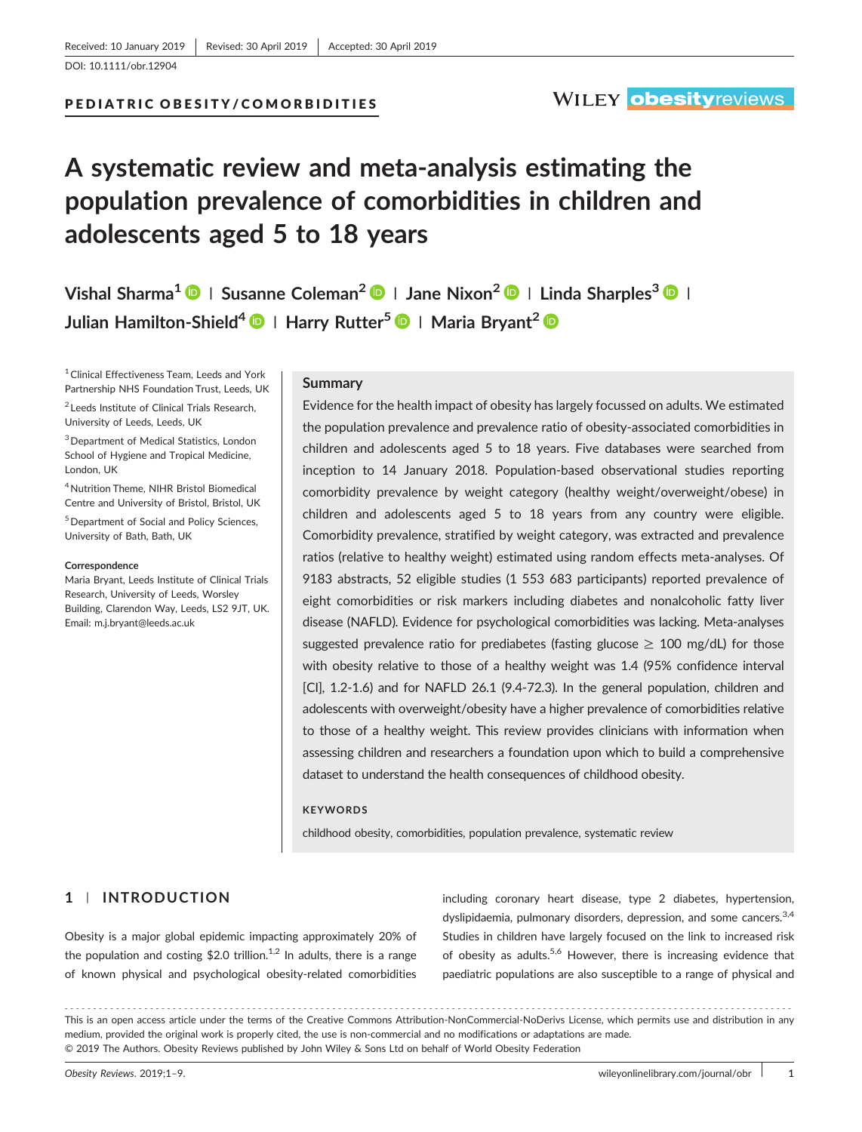# PEDIATRIC OBESITY/COMORBIDITIES

# **A systematic review and meta‐analysis estimating the population prevalence of comorbidities in children and adolescents aged 5 to 18 years**

**Vishal Sharma1 <sup>|</sup> Susanne Coleman2 <sup>|</sup> Jane Nixon<sup>2</sup> <sup>|</sup> Linda Sharples3 <sup>|</sup> Julian Hamilton‐Shield4 <sup>|</sup> Harry Rutter<sup>5</sup> <sup>|</sup> Maria Bryant<sup>2</sup>**

<sup>1</sup> Clinical Effectiveness Team, Leeds and York Partnership NHS Foundation Trust, Leeds, UK

<sup>2</sup> Leeds Institute of Clinical Trials Research, University of Leeds, Leeds, UK

3Department of Medical Statistics, London School of Hygiene and Tropical Medicine, London, UK

4Nutrition Theme, NIHR Bristol Biomedical Centre and University of Bristol, Bristol, UK 5Department of Social and Policy Sciences, University of Bath, Bath, UK

#### **Correspondence**

Maria Bryant, Leeds Institute of Clinical Trials Research, University of Leeds, Worsley Building, Clarendon Way, Leeds, LS2 9JT, UK. Email: m.j.bryant@leeds.ac.uk

#### **Summary**

Evidence for the health impact of obesity has largely focussed on adults. We estimated the population prevalence and prevalence ratio of obesity‐associated comorbidities in children and adolescents aged 5 to 18 years. Five databases were searched from inception to 14 January 2018. Population‐based observational studies reporting comorbidity prevalence by weight category (healthy weight/overweight/obese) in children and adolescents aged 5 to 18 years from any country were eligible. Comorbidity prevalence, stratified by weight category, was extracted and prevalence ratios (relative to healthy weight) estimated using random effects meta‐analyses. Of 9183 abstracts, 52 eligible studies (1 553 683 participants) reported prevalence of eight comorbidities or risk markers including diabetes and nonalcoholic fatty liver disease (NAFLD). Evidence for psychological comorbidities was lacking. Meta‐analyses suggested prevalence ratio for prediabetes (fasting glucose  $\geq$  100 mg/dL) for those with obesity relative to those of a healthy weight was 1.4 (95% confidence interval [CI], 1.2‐1.6) and for NAFLD 26.1 (9.4‐72.3). In the general population, children and adolescents with overweight/obesity have a higher prevalence of comorbidities relative to those of a healthy weight. This review provides clinicians with information when assessing children and researchers a foundation upon which to build a comprehensive dataset to understand the health consequences of childhood obesity.

# **KEYWORDS**

childhood obesity, comorbidities, population prevalence, systematic review

# **1** | **INTRODUCTION**

Obesity is a major global epidemic impacting approximately 20% of the population and costing \$2.0 trillion.<sup>1,2</sup> In adults, there is a range of known physical and psychological obesity‐related comorbidities including coronary heart disease, type 2 diabetes, hypertension, dyslipidaemia, pulmonary disorders, depression, and some cancers.<sup>3,4</sup> Studies in children have largely focused on the link to increased risk of obesity as adults.<sup>5,6</sup> However, there is increasing evidence that paediatric populations are also susceptible to a range of physical and

<sup>-------------------------------------------------------------------------------------------------------------------------------</sup> - This is an open access article under the terms of the [Creative Commons Attribution](http://creativecommons.org/licenses/by-nc-nd/4.0/)‐NonCommercial‐NoDerivs License, which permits use and distribution in any medium, provided the original work is properly cited, the use is non‐commercial and no modifications or adaptations are made. © 2019 The Authors. Obesity Reviews published by John Wiley & Sons Ltd on behalf of World Obesity Federation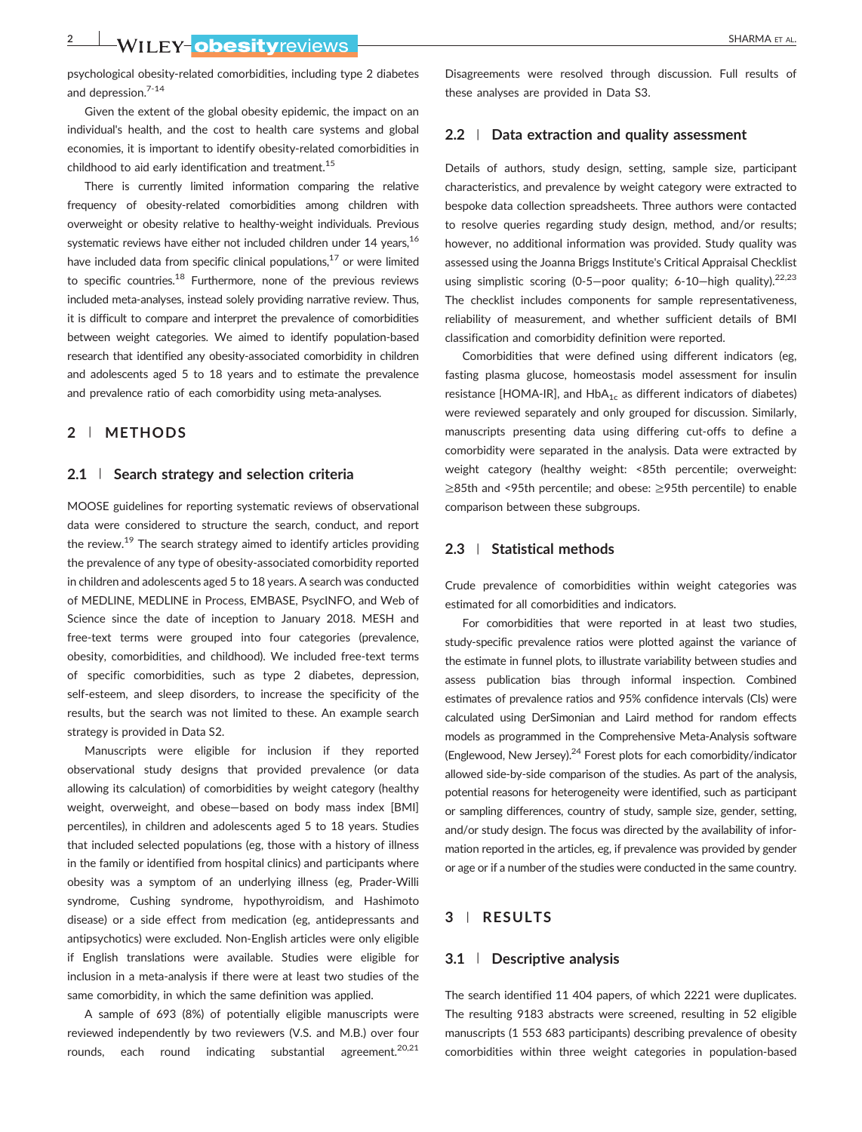**2** WILEY-ODESItyreviews **Constitution** of the sharma et al.

psychological obesity‐related comorbidities, including type 2 diabetes and depression.7-14

Given the extent of the global obesity epidemic, the impact on an individual's health, and the cost to health care systems and global economies, it is important to identify obesity‐related comorbidities in childhood to aid early identification and treatment.<sup>15</sup>

There is currently limited information comparing the relative frequency of obesity-related comorbidities among children with overweight or obesity relative to healthy‐weight individuals. Previous systematic reviews have either not included children under 14 years,<sup>16</sup> have included data from specific clinical populations, $17$  or were limited to specific countries.<sup>18</sup> Furthermore, none of the previous reviews included meta‐analyses, instead solely providing narrative review. Thus, it is difficult to compare and interpret the prevalence of comorbidities between weight categories. We aimed to identify population‐based research that identified any obesity‐associated comorbidity in children and adolescents aged 5 to 18 years and to estimate the prevalence and prevalence ratio of each comorbidity using meta‐analyses.

#### **2** | **METHODS**

#### **2.1** | **Search strategy and selection criteria**

MOOSE guidelines for reporting systematic reviews of observational data were considered to structure the search, conduct, and report the review.<sup>19</sup> The search strategy aimed to identify articles providing the prevalence of any type of obesity‐associated comorbidity reported in children and adolescents aged 5 to 18 years. A search was conducted of MEDLINE, MEDLINE in Process, EMBASE, PsycINFO, and Web of Science since the date of inception to January 2018. MESH and free-text terms were grouped into four categories (prevalence, obesity, comorbidities, and childhood). We included free‐text terms of specific comorbidities, such as type 2 diabetes, depression, self-esteem, and sleep disorders, to increase the specificity of the results, but the search was not limited to these. An example search strategy is provided in Data S2.

Manuscripts were eligible for inclusion if they reported observational study designs that provided prevalence (or data allowing its calculation) of comorbidities by weight category (healthy weight, overweight, and obese—based on body mass index [BMI] percentiles), in children and adolescents aged 5 to 18 years. Studies that included selected populations (eg, those with a history of illness in the family or identified from hospital clinics) and participants where obesity was a symptom of an underlying illness (eg, Prader‐Willi syndrome, Cushing syndrome, hypothyroidism, and Hashimoto disease) or a side effect from medication (eg, antidepressants and antipsychotics) were excluded. Non‐English articles were only eligible if English translations were available. Studies were eligible for inclusion in a meta‐analysis if there were at least two studies of the same comorbidity, in which the same definition was applied.

A sample of 693 (8%) of potentially eligible manuscripts were reviewed independently by two reviewers (V.S. and M.B.) over four rounds, each round indicating substantial agreement.<sup>20,21</sup> Disagreements were resolved through discussion. Full results of these analyses are provided in Data S3.

#### **2.2** | **Data extraction and quality assessment**

Details of authors, study design, setting, sample size, participant characteristics, and prevalence by weight category were extracted to bespoke data collection spreadsheets. Three authors were contacted to resolve queries regarding study design, method, and/or results; however, no additional information was provided. Study quality was assessed using the Joanna Briggs Institute's Critical Appraisal Checklist using simplistic scoring (0-5-poor quality; 6-10-high quality).<sup>22,23</sup> The checklist includes components for sample representativeness, reliability of measurement, and whether sufficient details of BMI classification and comorbidity definition were reported.

Comorbidities that were defined using different indicators (eg, fasting plasma glucose, homeostasis model assessment for insulin resistance [HOMA-IR], and  $HbA_{1c}$  as different indicators of diabetes) were reviewed separately and only grouped for discussion. Similarly, manuscripts presenting data using differing cut‐offs to define a comorbidity were separated in the analysis. Data were extracted by weight category (healthy weight: <85th percentile; overweight: ≥85th and <95th percentile; and obese: ≥95th percentile) to enable comparison between these subgroups.

#### **2.3** | **Statistical methods**

Crude prevalence of comorbidities within weight categories was estimated for all comorbidities and indicators.

For comorbidities that were reported in at least two studies, study‐specific prevalence ratios were plotted against the variance of the estimate in funnel plots, to illustrate variability between studies and assess publication bias through informal inspection. Combined estimates of prevalence ratios and 95% confidence intervals (CIs) were calculated using DerSimonian and Laird method for random effects models as programmed in the Comprehensive Meta‐Analysis software (Englewood, New Jersey).<sup>24</sup> Forest plots for each comorbidity/indicator allowed side‐by‐side comparison of the studies. As part of the analysis, potential reasons for heterogeneity were identified, such as participant or sampling differences, country of study, sample size, gender, setting, and/or study design. The focus was directed by the availability of information reported in the articles, eg, if prevalence was provided by gender or age or if a number of the studies were conducted in the same country.

#### **3** | **RESULTS**

#### **3.1** | **Descriptive analysis**

The search identified 11 404 papers, of which 2221 were duplicates. The resulting 9183 abstracts were screened, resulting in 52 eligible manuscripts (1 553 683 participants) describing prevalence of obesity comorbidities within three weight categories in population‐based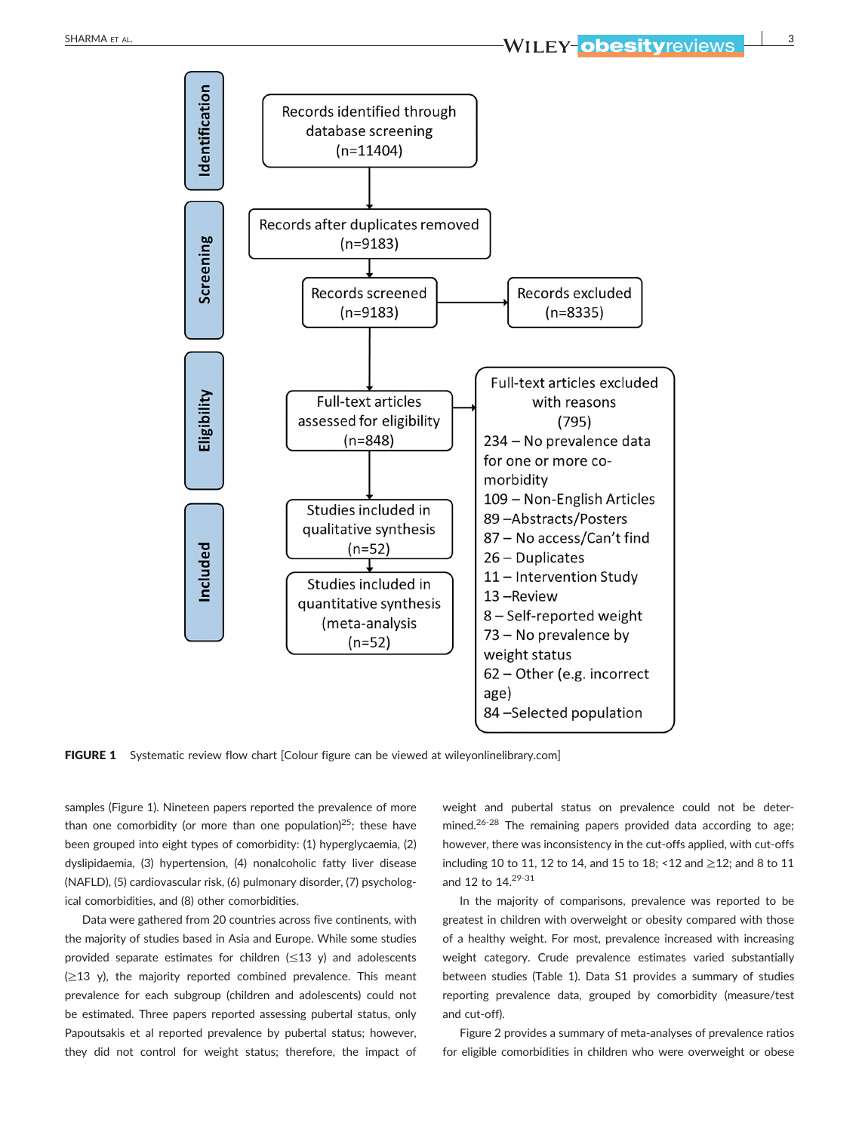

FIGURE 1 Systematic review flow chart [Colour figure can be viewed at [wileyonlinelibrary.com](http://wileyonlinelibrary.com)]

samples (Figure 1). Nineteen papers reported the prevalence of more than one comorbidity (or more than one population)<sup>25</sup>; these have been grouped into eight types of comorbidity: (1) hyperglycaemia, (2) dyslipidaemia, (3) hypertension, (4) nonalcoholic fatty liver disease (NAFLD), (5) cardiovascular risk, (6) pulmonary disorder, (7) psychological comorbidities, and (8) other comorbidities.

Data were gathered from 20 countries across five continents, with the majority of studies based in Asia and Europe. While some studies provided separate estimates for children  $(\leq 13 \text{ y})$  and adolescents  $(\geq 13$  y), the majority reported combined prevalence. This meant prevalence for each subgroup (children and adolescents) could not be estimated. Three papers reported assessing pubertal status, only Papoutsakis et al reported prevalence by pubertal status; however, they did not control for weight status; therefore, the impact of

weight and pubertal status on prevalence could not be determined.<sup>26-28</sup> The remaining papers provided data according to age; however, there was inconsistency in the cut-offs applied, with cut-offs including 10 to 11, 12 to 14, and 15 to 18; <12 and ≥12; and 8 to 11 and 12 to 14.<sup>29-31</sup>

In the majority of comparisons, prevalence was reported to be greatest in children with overweight or obesity compared with those of a healthy weight. For most, prevalence increased with increasing weight category. Crude prevalence estimates varied substantially between studies (Table 1). Data S1 provides a summary of studies reporting prevalence data, grouped by comorbidity (measure/test and cut‐off).

Figure 2 provides a summary of meta-analyses of prevalence ratios for eligible comorbidities in children who were overweight or obese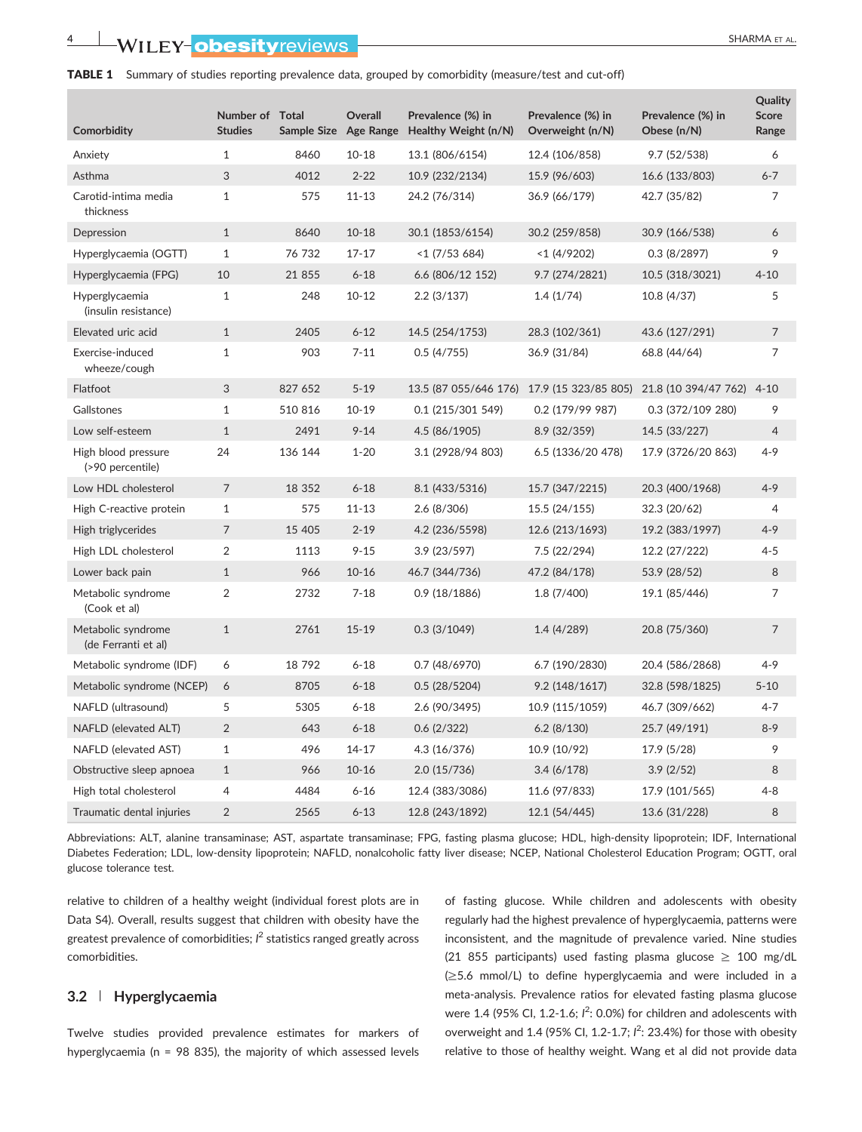#### TABLE 1 Summary of studies reporting prevalence data, grouped by comorbidity (measure/test and cut-off)

| Comorbidity                               | Number of Total<br><b>Studies</b> | Sample Size Age Range | Overall   | Prevalence (%) in<br>Healthy Weight (n/N)  | Prevalence (%) in<br>Overweight (n/N) | Prevalence (%) in<br>Obese (n/N) | Quality<br><b>Score</b><br>Range |
|-------------------------------------------|-----------------------------------|-----------------------|-----------|--------------------------------------------|---------------------------------------|----------------------------------|----------------------------------|
| Anxiety                                   | $\mathbf{1}$                      | 8460                  | $10 - 18$ | 13.1 (806/6154)                            | 12.4 (106/858)                        | 9.7(52/538)                      | 6                                |
| Asthma                                    | 3                                 | 4012                  | $2 - 22$  | 10.9 (232/2134)                            | 15.9 (96/603)                         | 16.6 (133/803)                   | $6 - 7$                          |
| Carotid-intima media<br>thickness         | $\mathbf{1}$                      | 575                   | $11 - 13$ | 24.2 (76/314)                              | 36.9 (66/179)                         | 42.7 (35/82)                     | 7                                |
| Depression                                | $\mathbf{1}$                      | 8640                  | $10 - 18$ | 30.1 (1853/6154)                           | 30.2 (259/858)                        | 30.9 (166/538)                   | 6                                |
| Hyperglycaemia (OGTT)                     | $\mathbf{1}$                      | 76 732                | $17 - 17$ | $<$ 1 (7/53 684)                           | $<$ 1 (4/9202)                        | 0.3(8/2897)                      | 9                                |
| Hyperglycaemia (FPG)                      | 10                                | 21 855                | $6 - 18$  | 6.6 (806/12 152)                           | 9.7 (274/2821)                        | 10.5 (318/3021)                  | $4 - 10$                         |
| Hyperglycaemia<br>(insulin resistance)    | $\mathbf{1}$                      | 248                   | $10 - 12$ | 2.2(3/137)                                 | 1.4(1/74)                             | 10.8 (4/37)                      | 5                                |
| Elevated uric acid                        | $\mathbf{1}$                      | 2405                  | $6 - 12$  | 14.5 (254/1753)                            | 28.3 (102/361)                        | 43.6 (127/291)                   | $\overline{7}$                   |
| Exercise-induced<br>wheeze/cough          | $\mathbf{1}$                      | 903                   | $7 - 11$  | 0.5(4/755)                                 | 36.9 (31/84)                          | 68.8 (44/64)                     | 7                                |
| Flatfoot                                  | 3                                 | 827 652               | $5 - 19$  | 13.5 (87 055/646 176) 17.9 (15 323/85 805) |                                       | 21.8 (10 394/47 762)             | $4 - 10$                         |
| Gallstones                                | $\mathbf{1}$                      | 510 816               | $10 - 19$ | 0.1 (215/301 549)                          | $0.2$ (179/99 987)                    | 0.3 (372/109 280)                | 9                                |
| Low self-esteem                           | $\mathbf{1}$                      | 2491                  | $9 - 14$  | 4.5 (86/1905)                              | 8.9 (32/359)                          | 14.5 (33/227)                    | $\overline{4}$                   |
| High blood pressure<br>(>90 percentile)   | 24                                | 136 144               | $1 - 20$  | 3.1 (2928/94 803)                          | 6.5 (1336/20 478)                     | 17.9 (3726/20 863)               | 4-9                              |
| Low HDL cholesterol                       | $\overline{7}$                    | 18 352                | $6 - 18$  | 8.1 (433/5316)                             | 15.7 (347/2215)                       | 20.3 (400/1968)                  | $4 - 9$                          |
| High C-reactive protein                   | $\mathbf{1}$                      | 575                   | $11 - 13$ | 2.6(8/306)                                 | 15.5 (24/155)                         | 32.3 (20/62)                     | 4                                |
| High triglycerides                        | $\overline{7}$                    | 15 4 05               | $2 - 19$  | 4.2 (236/5598)                             | 12.6 (213/1693)                       | 19.2 (383/1997)                  | $4 - 9$                          |
| High LDL cholesterol                      | $\overline{2}$                    | 1113                  | $9 - 15$  | 3.9(23/597)                                | 7.5 (22/294)                          | 12.2 (27/222)                    | $4 - 5$                          |
| Lower back pain                           | $\mathbf{1}$                      | 966                   | $10 - 16$ | 46.7 (344/736)                             | 47.2 (84/178)                         | 53.9 (28/52)                     | 8                                |
| Metabolic syndrome<br>(Cook et al)        | 2                                 | 2732                  | $7 - 18$  | 0.9(18/1886)                               | 1.8 (7/400)                           | 19.1 (85/446)                    | 7                                |
| Metabolic syndrome<br>(de Ferranti et al) | $\mathbf{1}$                      | 2761                  | $15 - 19$ | 0.3(3/1049)                                | 1.4(4/289)                            | 20.8 (75/360)                    | 7                                |
| Metabolic syndrome (IDF)                  | 6                                 | 18 792                | $6 - 18$  | 0.7(48/6970)                               | 6.7 (190/2830)                        | 20.4 (586/2868)                  | $4 - 9$                          |
| Metabolic syndrome (NCEP)                 | 6                                 | 8705                  | $6 - 18$  | 0.5(28/5204)                               | 9.2(148/1617)                         | 32.8 (598/1825)                  | $5 - 10$                         |
| NAFLD (ultrasound)                        | 5                                 | 5305                  | $6 - 18$  | 2.6 (90/3495)                              | 10.9 (115/1059)                       | 46.7 (309/662)                   | 4-7                              |
| NAFLD (elevated ALT)                      | 2                                 | 643                   | $6 - 18$  | 0.6(2/322)                                 | 6.2(8/130)                            | 25.7 (49/191)                    | $8 - 9$                          |
| NAFLD (elevated AST)                      | $\mathbf{1}$                      | 496                   | $14 - 17$ | 4.3 (16/376)                               | 10.9 (10/92)                          | 17.9 (5/28)                      | 9                                |
| Obstructive sleep apnoea                  | $\mathbf{1}$                      | 966                   | $10 - 16$ | 2.0(15/736)                                | 3.4(6/178)                            | 3.9(2/52)                        | 8                                |
| High total cholesterol                    | 4                                 | 4484                  | $6 - 16$  | 12.4 (383/3086)                            | 11.6 (97/833)                         | 17.9 (101/565)                   | $4 - 8$                          |
| Traumatic dental injuries                 | 2                                 | 2565                  | $6 - 13$  | 12.8 (243/1892)                            | 12.1 (54/445)                         | 13.6 (31/228)                    | 8                                |

Abbreviations: ALT, alanine transaminase; AST, aspartate transaminase; FPG, fasting plasma glucose; HDL, high‐density lipoprotein; IDF, International Diabetes Federation; LDL, low‐density lipoprotein; NAFLD, nonalcoholic fatty liver disease; NCEP, National Cholesterol Education Program; OGTT, oral glucose tolerance test.

relative to children of a healthy weight (individual forest plots are in Data S4). Overall, results suggest that children with obesity have the greatest prevalence of comorbidities; *I* <sup>2</sup> statistics ranged greatly across comorbidities.

# **3.2** | **Hyperglycaemia**

Twelve studies provided prevalence estimates for markers of hyperglycaemia (n = 98 835), the majority of which assessed levels of fasting glucose. While children and adolescents with obesity regularly had the highest prevalence of hyperglycaemia, patterns were inconsistent, and the magnitude of prevalence varied. Nine studies (21 855 participants) used fasting plasma glucose  $\geq$  100 mg/dL (≥5.6 mmol/L) to define hyperglycaemia and were included in a meta‐analysis. Prevalence ratios for elevated fasting plasma glucose were 1.4 (95% CI, 1.2-1.6;  $l^2$ : 0.0%) for children and adolescents with overweight and 1.4 (95% CI, 1.2-1.7;  $l^2$ : 23.4%) for those with obesity relative to those of healthy weight. Wang et al did not provide data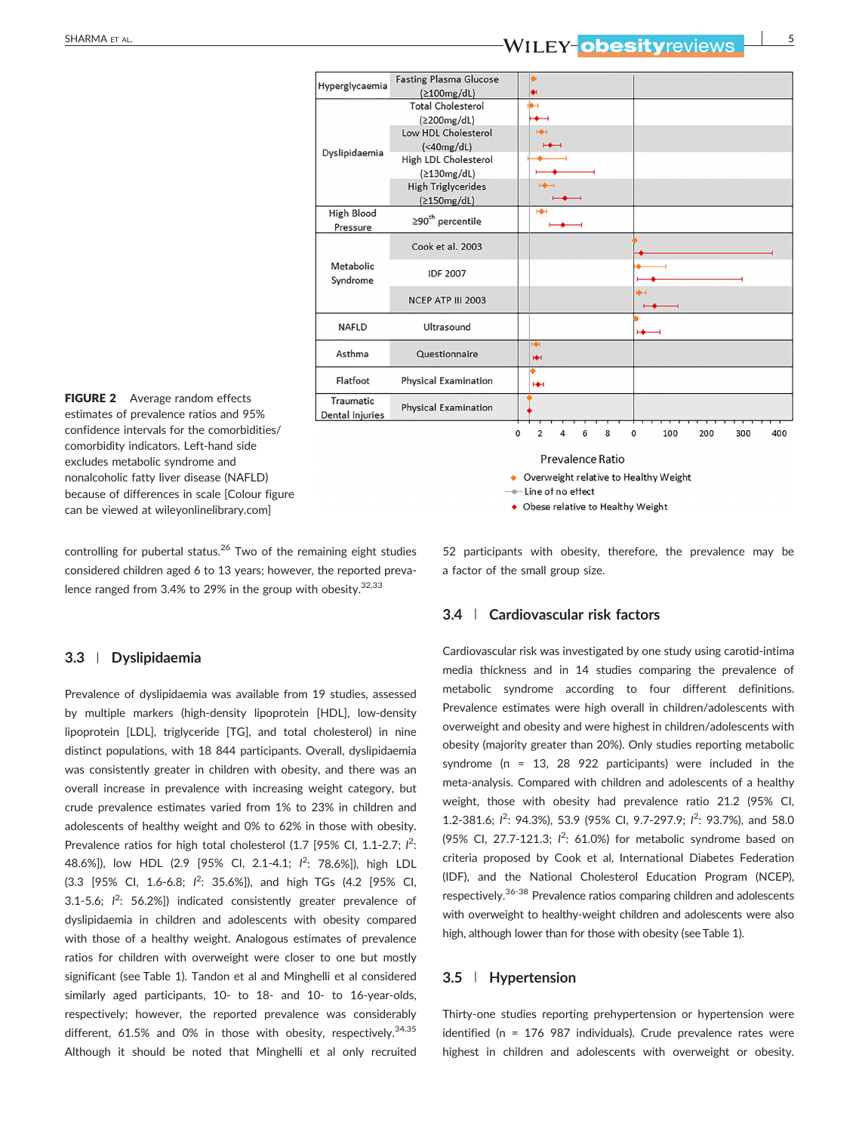# **SHARMA ET AL. SHARMA ET AL. SHARMA ET AL. SHARMA ET AL. SHARMA ET AL. SHARMA ET AL. SHARMA ET AL. SHARMA ET AL.**



FIGURE 2 Average random effects estimates of prevalence ratios and 95% confidence intervals for the comorbidities/ comorbidity indicators. Left‐hand side excludes metabolic syndrome and nonalcoholic fatty liver disease (NAFLD) because of differences in scale [Colour figure can be viewed at [wileyonlinelibrary.com\]](http://wileyonlinelibrary.com)

controlling for pubertal status.<sup>26</sup> Two of the remaining eight studies considered children aged 6 to 13 years; however, the reported prevalence ranged from 3.4% to 29% in the group with obesity. $32,33$ 

#### **3.3** | **Dyslipidaemia**

Prevalence of dyslipidaemia was available from 19 studies, assessed by multiple markers (high‐density lipoprotein [HDL], low‐density lipoprotein [LDL], triglyceride [TG], and total cholesterol) in nine distinct populations, with 18 844 participants. Overall, dyslipidaemia was consistently greater in children with obesity, and there was an overall increase in prevalence with increasing weight category, but crude prevalence estimates varied from 1% to 23% in children and adolescents of healthy weight and 0% to 62% in those with obesity. Prevalence ratios for high total cholesterol (1.7 [95% CI, 1.1-2.7; <sup>12</sup>: 48.6%]), low HDL (2.9 [95% CI, 2.1‐4.1; *I* 2 : 78.6%]), high LDL (3.3 [95% CI, 1.6‐6.8; *I* 2 : 35.6%]), and high TGs (4.2 [95% CI, 3.1-5.6;  $I^2$ : 56.2%]) indicated consistently greater prevalence of dyslipidaemia in children and adolescents with obesity compared with those of a healthy weight. Analogous estimates of prevalence ratios for children with overweight were closer to one but mostly significant (see Table 1). Tandon et al and Minghelli et al considered similarly aged participants, 10‐ to 18‐ and 10‐ to 16‐year‐olds, respectively; however, the reported prevalence was considerably different, 61.5% and 0% in those with obesity, respectively.<sup>34,35</sup> Although it should be noted that Minghelli et al only recruited

Prevalence Ratio

- Overweight relative to Healthy Weight
- -Line of no effect
- Obese relative to Healthy Weight

52 participants with obesity, therefore, the prevalence may be a factor of the small group size.

### **3.4** | **Cardiovascular risk factors**

Cardiovascular risk was investigated by one study using carotid‐intima media thickness and in 14 studies comparing the prevalence of metabolic syndrome according to four different definitions. Prevalence estimates were high overall in children/adolescents with overweight and obesity and were highest in children/adolescents with obesity (majority greater than 20%). Only studies reporting metabolic syndrome (n = 13, 28 922 participants) were included in the meta‐analysis. Compared with children and adolescents of a healthy weight, those with obesity had prevalence ratio 21.2 (95% CI, 1.2-381.6;  $I^2$ : 94.3%), 53.9 (95% Cl, 9.7-297.9;  $I^2$ : 93.7%), and 58.0 (95% Cl, 27.7-121.3;  $l^2$ : 61.0%) for metabolic syndrome based on criteria proposed by Cook et al, International Diabetes Federation (IDF), and the National Cholesterol Education Program (NCEP), respectively.36-38 Prevalence ratios comparing children and adolescents with overweight to healthy-weight children and adolescents were also high, although lower than for those with obesity (see Table 1).

# **3.5** | **Hypertension**

Thirty-one studies reporting prehypertension or hypertension were identified (n = 176 987 individuals). Crude prevalence rates were highest in children and adolescents with overweight or obesity.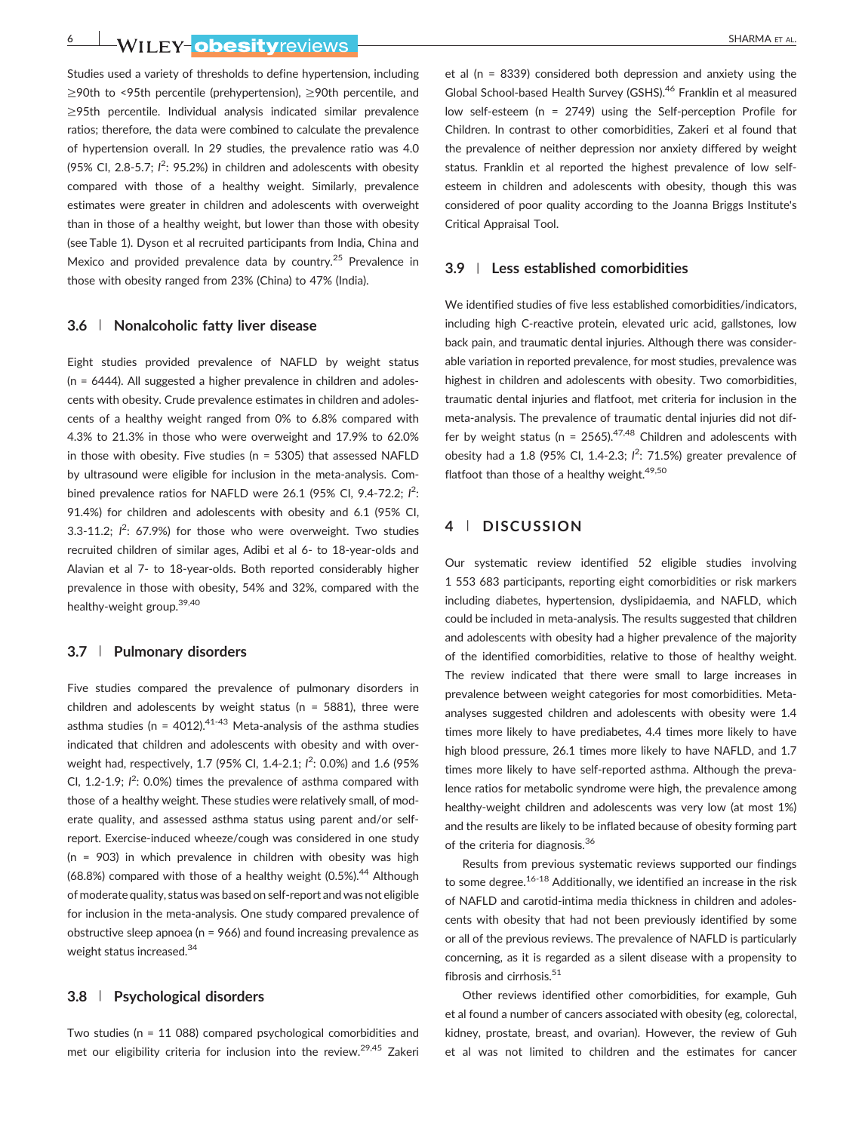**6** NILEY ODESItyreviews **Finally and the Community of the Sharma** et al.

Studies used a variety of thresholds to define hypertension, including ≥90th to <95th percentile (prehypertension), ≥90th percentile, and ≥95th percentile. Individual analysis indicated similar prevalence ratios; therefore, the data were combined to calculate the prevalence of hypertension overall. In 29 studies, the prevalence ratio was 4.0 (95% CI, 2.8-5.7;  $I^2$ : 95.2%) in children and adolescents with obesity compared with those of a healthy weight. Similarly, prevalence estimates were greater in children and adolescents with overweight than in those of a healthy weight, but lower than those with obesity (see Table 1). Dyson et al recruited participants from India, China and Mexico and provided prevalence data by country.<sup>25</sup> Prevalence in those with obesity ranged from 23% (China) to 47% (India).

#### **3.6** | **Nonalcoholic fatty liver disease**

Eight studies provided prevalence of NAFLD by weight status (n = 6444). All suggested a higher prevalence in children and adolescents with obesity. Crude prevalence estimates in children and adolescents of a healthy weight ranged from 0% to 6.8% compared with 4.3% to 21.3% in those who were overweight and 17.9% to 62.0% in those with obesity. Five studies ( $n = 5305$ ) that assessed NAFLD by ultrasound were eligible for inclusion in the meta‐analysis. Combined prevalence ratios for NAFLD were 26.1 (95% Cl, 9.4-72.2; l<sup>2</sup>: 91.4%) for children and adolescents with obesity and 6.1 (95% CI, 3.3-11.2;  $l^2$ : 67.9%) for those who were overweight. Two studies recruited children of similar ages, Adibi et al 6‐ to 18‐year‐olds and Alavian et al 7‐ to 18‐year‐olds. Both reported considerably higher prevalence in those with obesity, 54% and 32%, compared with the healthy‐weight group.39,40

#### **3.7** | **Pulmonary disorders**

Five studies compared the prevalence of pulmonary disorders in children and adolescents by weight status ( $n = 5881$ ), three were asthma studies (n = 4012). $41-43$  Meta-analysis of the asthma studies indicated that children and adolescents with obesity and with overweight had, respectively, 1.7 (95% CI, 1.4-2.1;  $l^2$ : 0.0%) and 1.6 (95% CI,  $1.2 - 1.9$ ;  $I^2$ : 0.0%) times the prevalence of asthma compared with those of a healthy weight. These studies were relatively small, of moderate quality, and assessed asthma status using parent and/or self‐ report. Exercise‐induced wheeze/cough was considered in one study (n = 903) in which prevalence in children with obesity was high  $(68.8%)$  compared with those of a healthy weight  $(0.5%)$ .<sup>44</sup> Although of moderate quality, status was based on self‐report and was not eligible for inclusion in the meta‐analysis. One study compared prevalence of obstructive sleep apnoea (n = 966) and found increasing prevalence as weight status increased.<sup>34</sup>

# **3.8** | **Psychological disorders**

Two studies (n = 11 088) compared psychological comorbidities and met our eligibility criteria for inclusion into the review.<sup>29,45</sup> Zakeri et al (n = 8339) considered both depression and anxiety using the Global School‐based Health Survey (GSHS).46 Franklin et al measured low self-esteem (n = 2749) using the Self-perception Profile for Children. In contrast to other comorbidities, Zakeri et al found that the prevalence of neither depression nor anxiety differed by weight status. Franklin et al reported the highest prevalence of low self‐ esteem in children and adolescents with obesity, though this was considered of poor quality according to the Joanna Briggs Institute's Critical Appraisal Tool.

## **3.9** | **Less established comorbidities**

We identified studies of five less established comorbidities/indicators, including high C‐reactive protein, elevated uric acid, gallstones, low back pain, and traumatic dental injuries. Although there was considerable variation in reported prevalence, for most studies, prevalence was highest in children and adolescents with obesity. Two comorbidities, traumatic dental injuries and flatfoot, met criteria for inclusion in the meta‐analysis. The prevalence of traumatic dental injuries did not differ by weight status ( $n = 2565$ ).<sup>47,48</sup> Children and adolescents with obesity had a 1.8 (95% CI, 1.4-2.3;  $l^2$ : 71.5%) greater prevalence of flatfoot than those of a healthy weight.<sup>49,50</sup>

# **4** | **DISCUSSION**

Our systematic review identified 52 eligible studies involving 1 553 683 participants, reporting eight comorbidities or risk markers including diabetes, hypertension, dyslipidaemia, and NAFLD, which could be included in meta‐analysis. The results suggested that children and adolescents with obesity had a higher prevalence of the majority of the identified comorbidities, relative to those of healthy weight. The review indicated that there were small to large increases in prevalence between weight categories for most comorbidities. Meta‐ analyses suggested children and adolescents with obesity were 1.4 times more likely to have prediabetes, 4.4 times more likely to have high blood pressure, 26.1 times more likely to have NAFLD, and 1.7 times more likely to have self‐reported asthma. Although the prevalence ratios for metabolic syndrome were high, the prevalence among healthy-weight children and adolescents was very low (at most 1%) and the results are likely to be inflated because of obesity forming part of the criteria for diagnosis.<sup>36</sup>

Results from previous systematic reviews supported our findings to some degree.<sup>16-18</sup> Additionally, we identified an increase in the risk of NAFLD and carotid‐intima media thickness in children and adolescents with obesity that had not been previously identified by some or all of the previous reviews. The prevalence of NAFLD is particularly concerning, as it is regarded as a silent disease with a propensity to fibrosis and cirrhosis. $51$ 

Other reviews identified other comorbidities, for example, Guh et al found a number of cancers associated with obesity (eg, colorectal, kidney, prostate, breast, and ovarian). However, the review of Guh et al was not limited to children and the estimates for cancer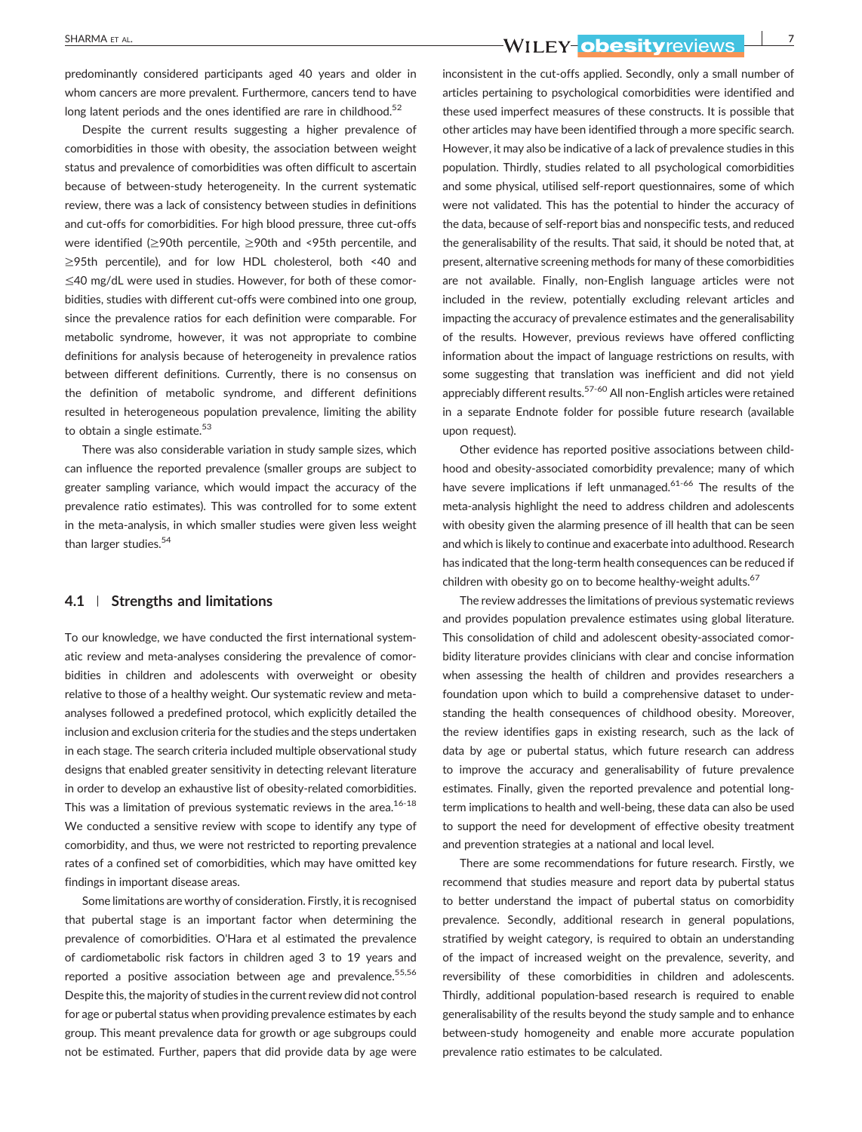predominantly considered participants aged 40 years and older in whom cancers are more prevalent. Furthermore, cancers tend to have long latent periods and the ones identified are rare in childhood.<sup>52</sup>

Despite the current results suggesting a higher prevalence of comorbidities in those with obesity, the association between weight status and prevalence of comorbidities was often difficult to ascertain because of between‐study heterogeneity. In the current systematic review, there was a lack of consistency between studies in definitions and cut-offs for comorbidities. For high blood pressure, three cut-offs were identified (≥90th percentile, ≥90th and <95th percentile, and ≥95th percentile), and for low HDL cholesterol, both <40 and ≤40 mg/dL were used in studies. However, for both of these comorbidities, studies with different cut‐offs were combined into one group, since the prevalence ratios for each definition were comparable. For metabolic syndrome, however, it was not appropriate to combine definitions for analysis because of heterogeneity in prevalence ratios between different definitions. Currently, there is no consensus on the definition of metabolic syndrome, and different definitions resulted in heterogeneous population prevalence, limiting the ability to obtain a single estimate. $53$ 

There was also considerable variation in study sample sizes, which can influence the reported prevalence (smaller groups are subject to greater sampling variance, which would impact the accuracy of the prevalence ratio estimates). This was controlled for to some extent in the meta‐analysis, in which smaller studies were given less weight than larger studies.<sup>54</sup>

#### **4.1** | **Strengths and limitations**

To our knowledge, we have conducted the first international systematic review and meta‐analyses considering the prevalence of comorbidities in children and adolescents with overweight or obesity relative to those of a healthy weight. Our systematic review and meta‐ analyses followed a predefined protocol, which explicitly detailed the inclusion and exclusion criteria for the studies and the steps undertaken in each stage. The search criteria included multiple observational study designs that enabled greater sensitivity in detecting relevant literature in order to develop an exhaustive list of obesity-related comorbidities. This was a limitation of previous systematic reviews in the area. $16-18$ We conducted a sensitive review with scope to identify any type of comorbidity, and thus, we were not restricted to reporting prevalence rates of a confined set of comorbidities, which may have omitted key findings in important disease areas.

Some limitations are worthy of consideration. Firstly, it is recognised that pubertal stage is an important factor when determining the prevalence of comorbidities. O'Hara et al estimated the prevalence of cardiometabolic risk factors in children aged 3 to 19 years and reported a positive association between age and prevalence.<sup>55,56</sup> Despite this, the majority of studies in the current review did not control for age or pubertal status when providing prevalence estimates by each group. This meant prevalence data for growth or age subgroups could not be estimated. Further, papers that did provide data by age were

SHARMA ET AL.<sup>7</sup><br>MILEY-ODESItyreviews 2020

inconsistent in the cut-offs applied. Secondly, only a small number of articles pertaining to psychological comorbidities were identified and these used imperfect measures of these constructs. It is possible that other articles may have been identified through a more specific search. However, it may also be indicative of a lack of prevalence studies in this population. Thirdly, studies related to all psychological comorbidities and some physical, utilised self‐report questionnaires, some of which were not validated. This has the potential to hinder the accuracy of the data, because of self‐report bias and nonspecific tests, and reduced the generalisability of the results. That said, it should be noted that, at present, alternative screening methods for many of these comorbidities are not available. Finally, non‐English language articles were not included in the review, potentially excluding relevant articles and impacting the accuracy of prevalence estimates and the generalisability of the results. However, previous reviews have offered conflicting information about the impact of language restrictions on results, with some suggesting that translation was inefficient and did not yield appreciably different results.<sup>57-60</sup> All non-English articles were retained in a separate Endnote folder for possible future research (available upon request).

Other evidence has reported positive associations between childhood and obesity‐associated comorbidity prevalence; many of which have severe implications if left unmanaged.<sup>61-66</sup> The results of the meta‐analysis highlight the need to address children and adolescents with obesity given the alarming presence of ill health that can be seen and which is likely to continue and exacerbate into adulthood. Research has indicated that the long-term health consequences can be reduced if children with obesity go on to become healthy-weight adults.<sup>67</sup>

The review addresses the limitations of previous systematic reviews and provides population prevalence estimates using global literature. This consolidation of child and adolescent obesity‐associated comorbidity literature provides clinicians with clear and concise information when assessing the health of children and provides researchers a foundation upon which to build a comprehensive dataset to understanding the health consequences of childhood obesity. Moreover, the review identifies gaps in existing research, such as the lack of data by age or pubertal status, which future research can address to improve the accuracy and generalisability of future prevalence estimates. Finally, given the reported prevalence and potential longterm implications to health and well‐being, these data can also be used to support the need for development of effective obesity treatment and prevention strategies at a national and local level.

There are some recommendations for future research. Firstly, we recommend that studies measure and report data by pubertal status to better understand the impact of pubertal status on comorbidity prevalence. Secondly, additional research in general populations, stratified by weight category, is required to obtain an understanding of the impact of increased weight on the prevalence, severity, and reversibility of these comorbidities in children and adolescents. Thirdly, additional population‐based research is required to enable generalisability of the results beyond the study sample and to enhance between‐study homogeneity and enable more accurate population prevalence ratio estimates to be calculated.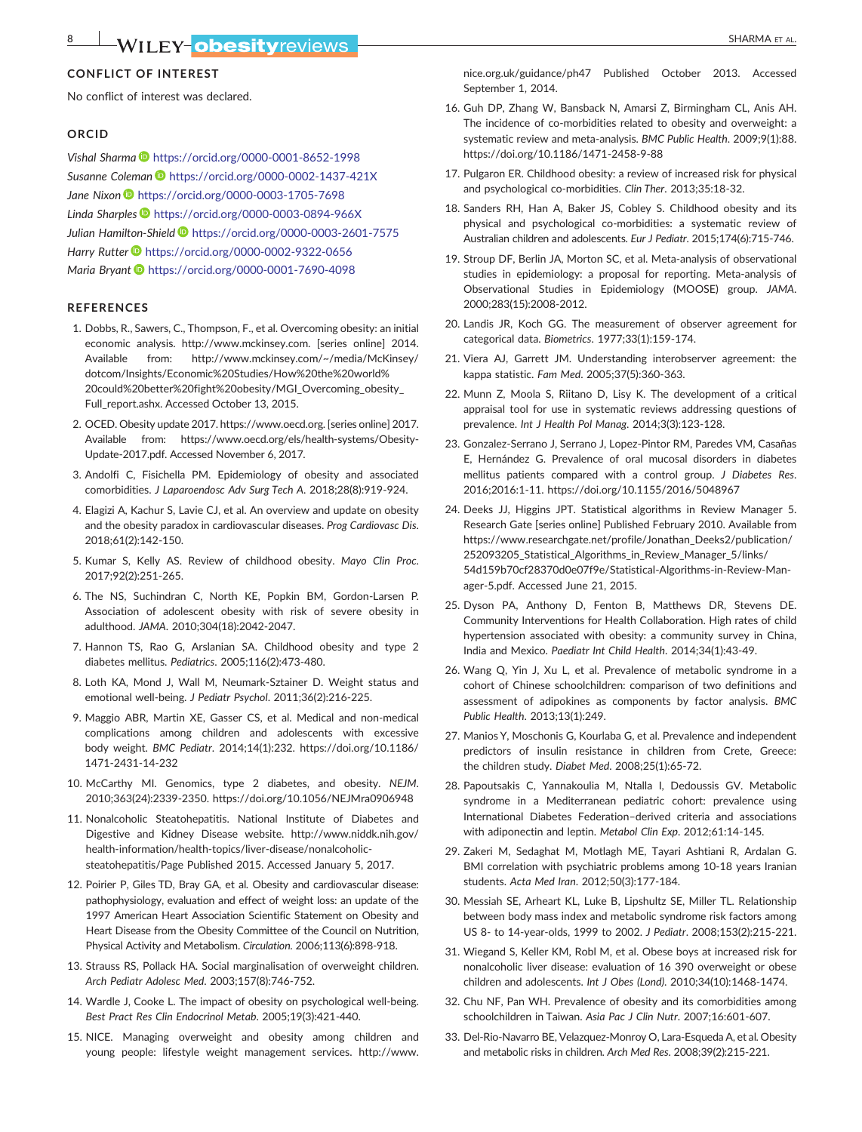### **CONFLICT OF INTEREST**

No conflict of interest was declared.

#### **ORCID**

*Vishal Sharma* <https://orcid.org/0000-0001-8652-1998> *Susanne Coleman* <https://orcid.org/0000-0002-1437-421X> *Jane Nixon* <https://orcid.org/0000-0003-1705-7698> *Linda Sharples* <https://orcid.org/0000-0003-0894-966X> *Julian Hamilton‐Shield* <https://orcid.org/0000-0003-2601-7575> *Harry Rutter* <https://orcid.org/0000-0002-9322-0656> *Maria Bryant* <https://orcid.org/0000-0001-7690-4098>

#### **REFERENCES**

- 1. Dobbs, R., Sawers, C., Thompson, F., et al. Overcoming obesity: an initial economic analysis. [http://www.mckinsey.com.](http://www.mckinsey.com) [series online] 2014. Available from: [http://www.mckinsey.com/~/media/McKinsey/](http://www.mckinsey.com/~/media/McKinsey/dotcom/Insights/Economic%20Studies/How%20the%20world%20could%20better%20fight%20obesity/MGI_Overcoming_obesity_Full_report.ashx) [dotcom/Insights/Economic%20Studies/How%20the%20world%](http://www.mckinsey.com/~/media/McKinsey/dotcom/Insights/Economic%20Studies/How%20the%20world%20could%20better%20fight%20obesity/MGI_Overcoming_obesity_Full_report.ashx) [20could%20better%20fight%20obesity/MGI\\_Overcoming\\_obesity\\_](http://www.mckinsey.com/~/media/McKinsey/dotcom/Insights/Economic%20Studies/How%20the%20world%20could%20better%20fight%20obesity/MGI_Overcoming_obesity_Full_report.ashx) [Full\\_report.ashx.](http://www.mckinsey.com/~/media/McKinsey/dotcom/Insights/Economic%20Studies/How%20the%20world%20could%20better%20fight%20obesity/MGI_Overcoming_obesity_Full_report.ashx) Accessed October 13, 2015.
- 2. OCED. Obesity update 2017.<https://www.oecd.org>. [series online] 2017. Available from: [https://www.oecd.org/els/health](https://www.oecd.org/els/health-systems/Obesity-Update-2017.pdf)‐systems/Obesity‐ Update‐[2017.pdf.](https://www.oecd.org/els/health-systems/Obesity-Update-2017.pdf) Accessed November 6, 2017.
- 3. Andolfi C, Fisichella PM. Epidemiology of obesity and associated comorbidities. *J Laparoendosc Adv Surg Tech A*. 2018;28(8):919‐924.
- 4. Elagizi A, Kachur S, Lavie CJ, et al. An overview and update on obesity and the obesity paradox in cardiovascular diseases. *Prog Cardiovasc Dis*. 2018;61(2):142‐150.
- 5. Kumar S, Kelly AS. Review of childhood obesity. *Mayo Clin Proc*. 2017;92(2):251‐265.
- 6. The NS, Suchindran C, North KE, Popkin BM, Gordon‐Larsen P. Association of adolescent obesity with risk of severe obesity in adulthood. *JAMA*. 2010;304(18):2042‐2047.
- 7. Hannon TS, Rao G, Arslanian SA. Childhood obesity and type 2 diabetes mellitus. *Pediatrics*. 2005;116(2):473‐480.
- 8. Loth KA, Mond J, Wall M, Neumark‐Sztainer D. Weight status and emotional well‐being. *J Pediatr Psychol*. 2011;36(2):216‐225.
- 9. Maggio ABR, Martin XE, Gasser CS, et al. Medical and non‐medical complications among children and adolescents with excessive body weight. *BMC Pediatr*. 2014;14(1):232. [https://doi.org/10.1186/](https://doi.org/10.1186/1471-2431-14-232) 1471‐[2431](https://doi.org/10.1186/1471-2431-14-232)‐14‐232
- 10. McCarthy MI. Genomics, type 2 diabetes, and obesity. *NEJM*. 2010;363(24):2339‐2350.<https://doi.org/10.1056/NEJMra0906948>
- 11. Nonalcoholic Steatohepatitis. National Institute of Diabetes and Digestive and Kidney Disease website. [http://www.niddk.nih.gov/](http://www.niddk.nih.gov/health-information/health-topics/liver-disease/nonalcoholic-steatohepatitis/Page) health-information/health-topics/liver-[disease/nonalcoholic](http://www.niddk.nih.gov/health-information/health-topics/liver-disease/nonalcoholic-steatohepatitis/Page)[steatohepatitis/Page](http://www.niddk.nih.gov/health-information/health-topics/liver-disease/nonalcoholic-steatohepatitis/Page) Published 2015. Accessed January 5, 2017.
- 12. Poirier P, Giles TD, Bray GA, et al. Obesity and cardiovascular disease: pathophysiology, evaluation and effect of weight loss: an update of the 1997 American Heart Association Scientific Statement on Obesity and Heart Disease from the Obesity Committee of the Council on Nutrition, Physical Activity and Metabolism. *Circulation*. 2006;113(6):898‐918.
- 13. Strauss RS, Pollack HA. Social marginalisation of overweight children. *Arch Pediatr Adolesc Med*. 2003;157(8):746‐752.
- 14. Wardle J, Cooke L. The impact of obesity on psychological well‐being. *Best Pract Res Clin Endocrinol Metab*. 2005;19(3):421‐440.
- 15. NICE. Managing overweight and obesity among children and young people: lifestyle weight management services. [http://www.](http://www.nice.org.uk/guidance/ph47)

[nice.org.uk/guidance/ph47](http://www.nice.org.uk/guidance/ph47) Published October 2013. Accessed September 1, 2014.

- 16. Guh DP, Zhang W, Bansback N, Amarsi Z, Birmingham CL, Anis AH. The incidence of co-morbidities related to obesity and overweight: a systematic review and meta‐analysis. *BMC Public Health*. 2009;9(1):88. [https://doi.org/10.1186/1471](https://doi.org/10.1186/1471-2458-9-88)‐2458‐9‐88
- 17. Pulgaron ER. Childhood obesity: a review of increased risk for physical and psychological co‐morbidities. *Clin Ther*. 2013;35:18‐32.
- 18. Sanders RH, Han A, Baker JS, Cobley S. Childhood obesity and its physical and psychological co-morbidities: a systematic review of Australian children and adolescents. *Eur J Pediatr*. 2015;174(6):715‐746.
- 19. Stroup DF, Berlin JA, Morton SC, et al. Meta-analysis of observational studies in epidemiology: a proposal for reporting. Meta-analysis of Observational Studies in Epidemiology (MOOSE) group. *JAMA*. 2000;283(15):2008‐2012.
- 20. Landis JR, Koch GG. The measurement of observer agreement for categorical data. *Biometrics*. 1977;33(1):159‐174.
- 21. Viera AJ, Garrett JM. Understanding interobserver agreement: the kappa statistic. *Fam Med*. 2005;37(5):360‐363.
- 22. Munn Z, Moola S, Riitano D, Lisy K. The development of a critical appraisal tool for use in systematic reviews addressing questions of prevalence. *Int J Health Pol Manag*. 2014;3(3):123‐128.
- 23. Gonzalez‐Serrano J, Serrano J, Lopez‐Pintor RM, Paredes VM, Casañas E, Hernández G. Prevalence of oral mucosal disorders in diabetes mellitus patients compared with a control group. *J Diabetes Res*. 2016;2016:1‐11.<https://doi.org/10.1155/2016/5048967>
- 24. Deeks JJ, Higgins JPT. Statistical algorithms in Review Manager 5. Research Gate [series online] Published February 2010. Available from [https://www.researchgate.net/profile/Jonathan\\_Deeks2/publication/](https://www.researchgate.net/profile/Jonathan_Deeks2/publication/252093205_Statistical_Algorithms_in_Review_Manager_5/links/54d159b70cf28370d0e07f9e/Statistical-Algorithms-in-Review-Manager-5.pdf) [252093205\\_Statistical\\_Algorithms\\_in\\_Review\\_Manager\\_5/links/](https://www.researchgate.net/profile/Jonathan_Deeks2/publication/252093205_Statistical_Algorithms_in_Review_Manager_5/links/54d159b70cf28370d0e07f9e/Statistical-Algorithms-in-Review-Manager-5.pdf) [54d159b70cf28370d0e07f9e/Statistical](https://www.researchgate.net/profile/Jonathan_Deeks2/publication/252093205_Statistical_Algorithms_in_Review_Manager_5/links/54d159b70cf28370d0e07f9e/Statistical-Algorithms-in-Review-Manager-5.pdf)‐Algorithms‐in‐Review‐Manager‐[5.pdf.](https://www.researchgate.net/profile/Jonathan_Deeks2/publication/252093205_Statistical_Algorithms_in_Review_Manager_5/links/54d159b70cf28370d0e07f9e/Statistical-Algorithms-in-Review-Manager-5.pdf) Accessed June 21, 2015.
- 25. Dyson PA, Anthony D, Fenton B, Matthews DR, Stevens DE. Community Interventions for Health Collaboration. High rates of child hypertension associated with obesity: a community survey in China, India and Mexico. *Paediatr Int Child Health*. 2014;34(1):43‐49.
- 26. Wang Q, Yin J, Xu L, et al. Prevalence of metabolic syndrome in a cohort of Chinese schoolchildren: comparison of two definitions and assessment of adipokines as components by factor analysis. *BMC Public Health*. 2013;13(1):249.
- 27. Manios Y, Moschonis G, Kourlaba G, et al. Prevalence and independent predictors of insulin resistance in children from Crete, Greece: the children study. *Diabet Med*. 2008;25(1):65‐72.
- 28. Papoutsakis C, Yannakoulia M, Ntalla I, Dedoussis GV. Metabolic syndrome in a Mediterranean pediatric cohort: prevalence using International Diabetes Federation–derived criteria and associations with adiponectin and leptin. *Metabol Clin Exp*. 2012;61:14‐145.
- 29. Zakeri M, Sedaghat M, Motlagh ME, Tayari Ashtiani R, Ardalan G. BMI correlation with psychiatric problems among 10‐18 years Iranian students. *Acta Med Iran*. 2012;50(3):177‐184.
- 30. Messiah SE, Arheart KL, Luke B, Lipshultz SE, Miller TL. Relationship between body mass index and metabolic syndrome risk factors among US 8‐ to 14‐year‐olds, 1999 to 2002. *J Pediatr*. 2008;153(2):215‐221.
- 31. Wiegand S, Keller KM, Robl M, et al. Obese boys at increased risk for nonalcoholic liver disease: evaluation of 16 390 overweight or obese children and adolescents. *Int J Obes (Lond)*. 2010;34(10):1468‐1474.
- 32. Chu NF, Pan WH. Prevalence of obesity and its comorbidities among schoolchildren in Taiwan. *Asia Pac J Clin Nutr*. 2007;16:601‐607.
- 33. Del‐Rio‐Navarro BE, Velazquez‐Monroy O, Lara‐Esqueda A, et al. Obesity and metabolic risks in children. *Arch Med Res*. 2008;39(2):215‐221.